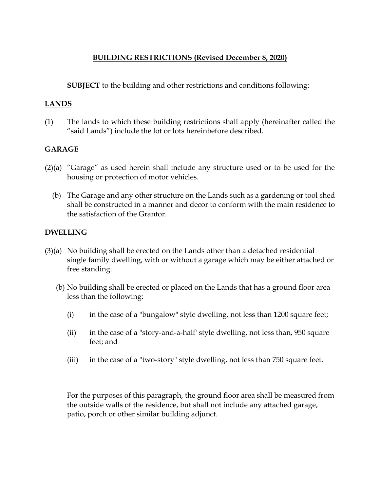# **BUILDING RESTRICTIONS (Revised December 8, 2020)**

**SUBJECT** to the building and other restrictions and conditions following:

## **LANDS**

(1) The lands to which these building restrictions shall apply (hereinafter called the "said Lands") include the lot or lots hereinbefore described.

# **GARAGE**

- (2)(a) "Garage" as used herein shall include any structure used or to be used for the housing or protection of motor vehicles.
	- (b) The Garage and any other structure on the Lands such as a gardening or tool shed shall be constructed in a manner and decor to conform with the main residence to the satisfaction of the Grantor.

### **DWELLING**

- (3)(a) No building shall be erected on the Lands other than a detached residential single family dwelling, with or without a garage which may be either attached or free standing.
	- (b) No building shall be erected or placed on the Lands that has a ground floor area less than the following:
		- (i) in the case of a "bungalow" style dwelling, not less than 1200 square feet;
		- (ii) in the case of a "story-and-a-half' style dwelling, not less than, 950 square feet; and
		- (iii) in the case of a "two-story" style dwelling, not less than 750 square feet.

For the purposes of this paragraph, the ground floor area shall be measured from the outside walls of the residence, but shall not include any attached garage, patio, porch or other similar building adjunct.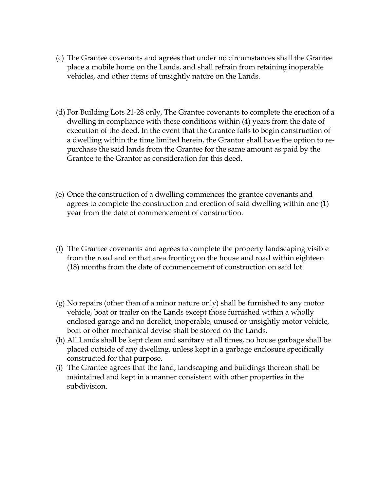- (c) The Grantee covenants and agrees that under no circumstances shall the Grantee place a mobile home on the Lands, and shall refrain from retaining inoperable vehicles, and other items of unsightly nature on the Lands.
- (d) For Building Lots 21-28 only, The Grantee covenants to complete the erection of a dwelling in compliance with these conditions within (4) years from the date of execution of the deed. In the event that the Grantee fails to begin construction of a dwelling within the time limited herein, the Grantor shall have the option to repurchase the said lands from the Grantee for the same amount as paid by the Grantee to the Grantor as consideration for this deed.
- (e) Once the construction of a dwelling commences the grantee covenants and agrees to complete the construction and erection of said dwelling within one (1) year from the date of commencement of construction.
- (f) The Grantee covenants and agrees to complete the property landscaping visible from the road and or that area fronting on the house and road within eighteen (18) months from the date of commencement of construction on said lot.
- (g) No repairs (other than of a minor nature only) shall be furnished to any motor vehicle, boat or trailer on the Lands except those furnished within a wholly enclosed garage and no derelict, inoperable, unused or unsightly motor vehicle, boat or other mechanical devise shall be stored on the Lands.
- (h) All Lands shall be kept clean and sanitary at all times, no house garbage shall be placed outside of any dwelling, unless kept in a garbage enclosure specifically constructed for that purpose.
- (i) The Grantee agrees that the land, landscaping and buildings thereon shall be maintained and kept in a manner consistent with other properties in the subdivision.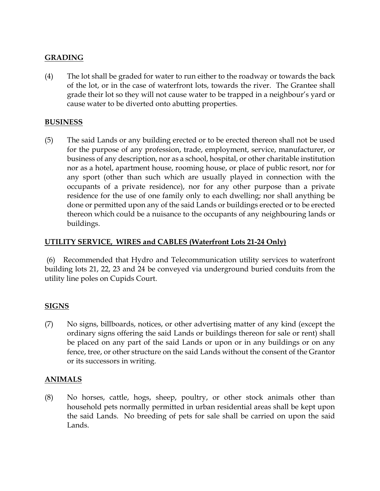# **GRADING**

(4) The lot shall be graded for water to run either to the roadway or towards the back of the lot, or in the case of waterfront lots, towards the river. The Grantee shall grade their lot so they will not cause water to be trapped in a neighbour's yard or cause water to be diverted onto abutting properties.

#### **BUSINESS**

(5) The said Lands or any building erected or to be erected thereon shall not be used for the purpose of any profession, trade, employment, service, manufacturer, or business of any description, nor as a school, hospital, or other charitable institution nor as a hotel, apartment house, rooming house, or place of public resort, nor for any sport (other than such which are usually played in connection with the occupants of a private residence), nor for any other purpose than a private residence for the use of one family only to each dwelling; nor shall anything be done or permitted upon any of the said Lands or buildings erected or to be erected thereon which could be a nuisance to the occupants of any neighbouring lands or buildings.

### **UTILITY SERVICE, WIRES and CABLES (Waterfront Lots 21-24 Only)**

(6) Recommended that Hydro and Telecommunication utility services to waterfront building lots 21, 22, 23 and 24 be conveyed via underground buried conduits from the utility line poles on Cupids Court.

### **SIGNS**

(7) No signs, billboards, notices, or other advertising matter of any kind (except the ordinary signs offering the said Lands or buildings thereon for sale or rent) shall be placed on any part of the said Lands or upon or in any buildings or on any fence, tree, or other structure on the said Lands without the consent of the Grantor or its successors in writing.

### **ANIMALS**

(8) No horses, cattle, hogs, sheep, poultry, or other stock animals other than household pets normally permitted in urban residential areas shall be kept upon the said Lands. No breeding of pets for sale shall be carried on upon the said Lands.